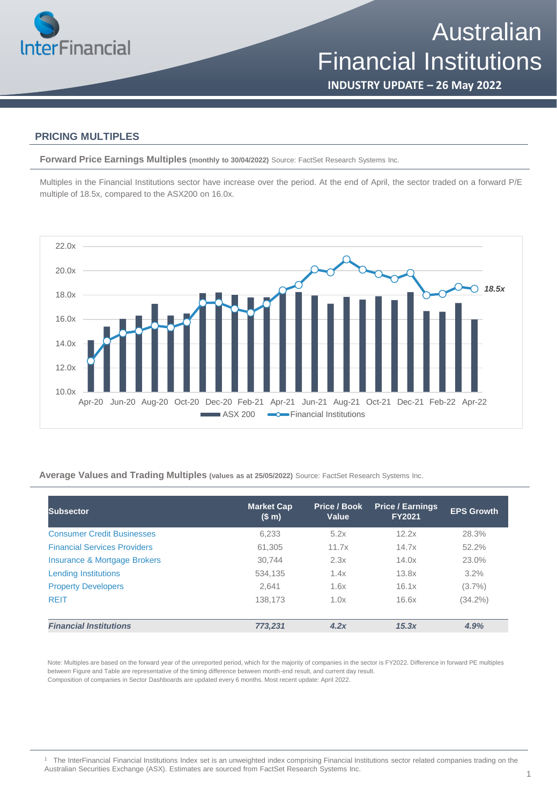

**INDUSTRY UPDATE – 26 May 2022**

### **PRICING MULTIPLES**

**Forward Price Earnings Multiples (monthly to 30/04/2022)** Source: FactSet Research Systems Inc.

Multiples in the Financial Institutions sector have increase over the period. At the end of April, the sector traded on a forward P/E multiple of 18.5x, compared to the ASX200 on 16.0x.



**Average Values and Trading Multiples (values as at 25/05/2022)** Source: FactSet Research Systems Inc.

| Subsector                               | <b>Market Cap</b><br>(\$m) | Price / Book<br>Value | <b>Price / Earnings</b><br><b>FY2021</b> | <b>EPS Growth</b> |
|-----------------------------------------|----------------------------|-----------------------|------------------------------------------|-------------------|
| <b>Consumer Credit Businesses</b>       | 6,233                      | 5.2x                  | 12.2x                                    | 28.3%             |
| <b>Financial Services Providers</b>     | 61,305                     | 11.7x                 | 14.7x                                    | 52.2%             |
| <b>Insurance &amp; Mortgage Brokers</b> | 30.744                     | 2.3x                  | 14.0x                                    | 23.0%             |
| <b>Lending Institutions</b>             | 534.135                    | 1.4x                  | 13.8x                                    | $3.2\%$           |
| <b>Property Developers</b>              | 2.641                      | 1.6x                  | 16.1x                                    | $(3.7\%)$         |
| <b>REIT</b>                             | 138,173                    | 1.0x                  | 16.6x                                    | $(34.2\%)$        |
| <b>Financial Institutions</b>           | 773.231                    | 4.2x                  | 15.3x                                    | 4.9%              |

Note: Multiples are based on the forward year of the unreported period, which for the majority of companies in the sector is FY2022. Difference in forward PE multiples between Figure and Table are representative of the timing difference between month-end result, and current day result. Composition of companies in Sector Dashboards are updated every 6 months. Most recent update: April 2022.

<sup>1</sup> The InterFinancial Financial Institutions Index set is an unweighted index comprising Financial Institutions sector related companies trading on the Australian Securities Exchange (ASX). Estimates are sourced from FactSet Research Systems Inc.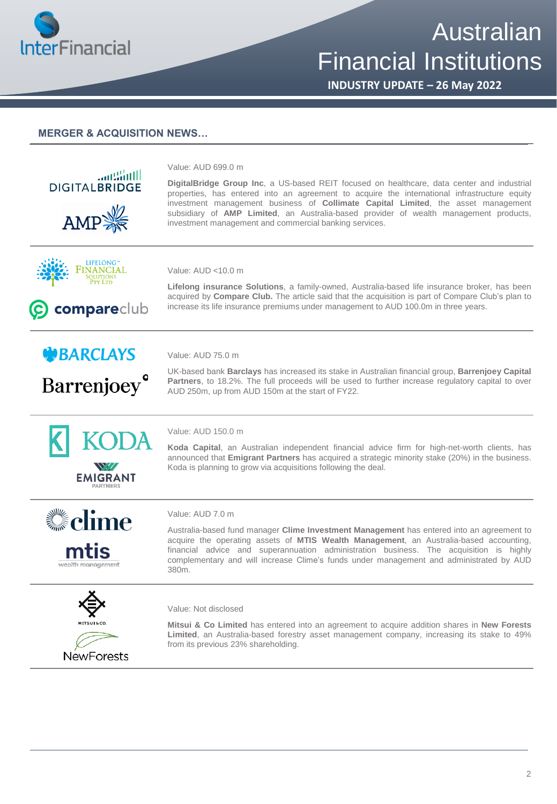

# Australian Financial Institutions

**INDUSTRY UPDATE – 26 May 2022**

## **MERGER & ACQUISITION NEWS…**





#### Value: AUD 7.0 m

Australia-based fund manager **Clime Investment Management** has entered into an agreement to acquire the operating assets of **MTIS Wealth Management**, an Australia-based accounting, financial advice and superannuation administration business. The acquisition is highly complementary and will increase Clime's funds under management and administrated by AUD 380m.



#### Value: Not disclosed

**Mitsui & Co Limited** has entered into an agreement to acquire addition shares in **New Forests Limited**, an Australia-based forestry asset management company, increasing its stake to 49% from its previous 23% shareholding.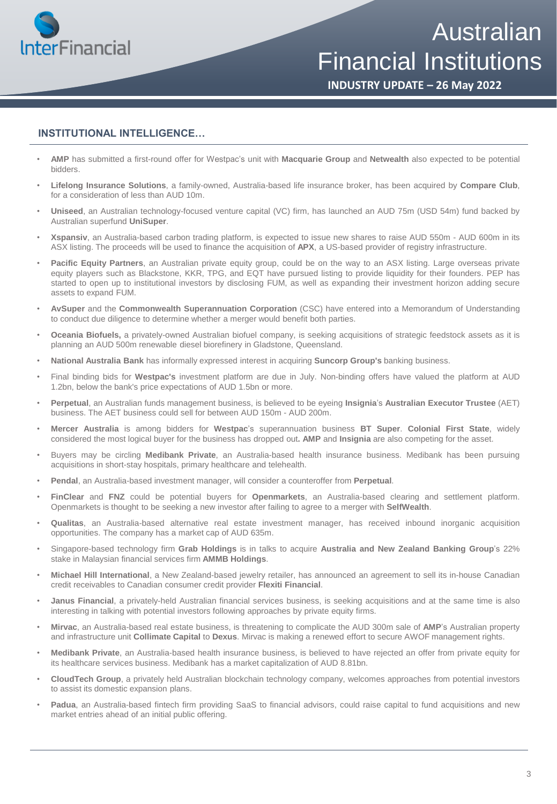

Australian Financial Institutions

**INDUSTRY UPDATE – 26 May 2022**

# **INSTITUTIONAL INTELLIGENCE…**

- **AMP** has submitted a first-round offer for Westpac's unit with **Macquarie Group** and **Netwealth** also expected to be potential bidders.
- **Lifelong Insurance Solutions**, a family-owned, Australia-based life insurance broker, has been acquired by **Compare Club**, for a consideration of less than AUD 10m.
- **Uniseed**, an Australian technology-focused venture capital (VC) firm, has launched an AUD 75m (USD 54m) fund backed by Australian superfund **UniSuper**.
- **Xspansiv**, an Australia-based carbon trading platform, is expected to issue new shares to raise AUD 550m AUD 600m in its ASX listing. The proceeds will be used to finance the acquisition of **APX**, a US-based provider of registry infrastructure.
- **Pacific Equity Partners**, an Australian private equity group, could be on the way to an ASX listing. Large overseas private equity players such as Blackstone, KKR, TPG, and EQT have pursued listing to provide liquidity for their founders. PEP has started to open up to institutional investors by disclosing FUM, as well as expanding their investment horizon adding secure assets to expand FUM.
- **AvSuper** and the **Commonwealth Superannuation Corporation** (CSC) have entered into a Memorandum of Understanding to conduct due diligence to determine whether a merger would benefit both parties.
- **Oceania Biofuels,** a privately-owned Australian biofuel company, is seeking acquisitions of strategic feedstock assets as it is planning an AUD 500m renewable diesel biorefinery in Gladstone, Queensland.
- **National Australia Bank** has informally expressed interest in acquiring **Suncorp Group's** banking business.
- Final binding bids for **Westpac's** investment platform are due in July. Non-binding offers have valued the platform at AUD 1.2bn, below the bank's price expectations of AUD 1.5bn or more.
- **Perpetual**, an Australian funds management business, is believed to be eyeing **Insignia**'s **Australian Executor Trustee** (AET) business. The AET business could sell for between AUD 150m - AUD 200m.
- **Mercer Australia** is among bidders for **Westpac**'s superannuation business **BT Super**. **Colonial First State**, widely considered the most logical buyer for the business has dropped out**. AMP** and **Insignia** are also competing for the asset.
- Buyers may be circling **Medibank Private**, an Australia-based health insurance business. Medibank has been pursuing acquisitions in short-stay hospitals, primary healthcare and telehealth.
- **Pendal**, an Australia-based investment manager, will consider a counteroffer from **Perpetual**.
- **FinClear** and **FNZ** could be potential buyers for **Openmarkets**, an Australia-based clearing and settlement platform. Openmarkets is thought to be seeking a new investor after failing to agree to a merger with **SelfWealth**.
- **Qualitas**, an Australia-based alternative real estate investment manager, has received inbound inorganic acquisition opportunities. The company has a market cap of AUD 635m.
- Singapore-based technology firm **Grab Holdings** is in talks to acquire **Australia and New Zealand Banking Group**'s 22% stake in Malaysian financial services firm **AMMB Holdings**.
- **Michael Hill International**, a New Zealand-based jewelry retailer, has announced an agreement to sell its in-house Canadian credit receivables to Canadian consumer credit provider **Flexiti Financial**.
- **Janus Financial**, a privately-held Australian financial services business, is seeking acquisitions and at the same time is also interesting in talking with potential investors following approaches by private equity firms.
- **Mirvac**, an Australia-based real estate business, is threatening to complicate the AUD 300m sale of **AMP**'s Australian property and infrastructure unit **Collimate Capital** to **Dexus**. Mirvac is making a renewed effort to secure AWOF management rights.
- **Medibank Private**, an Australia-based health insurance business, is believed to have rejected an offer from private equity for its healthcare services business. Medibank has a market capitalization of AUD 8.81bn.
- **CloudTech Group**, a privately held Australian blockchain technology company, welcomes approaches from potential investors to assist its domestic expansion plans.
- **Padua**, an Australia-based fintech firm providing SaaS to financial advisors, could raise capital to fund acquisitions and new market entries ahead of an initial public offering.